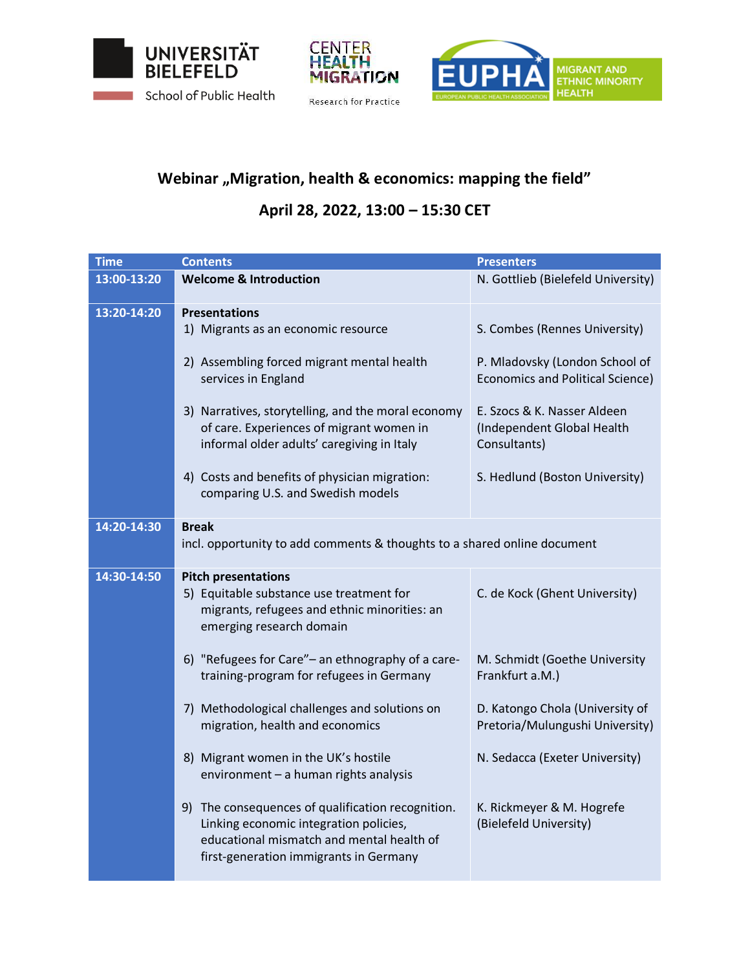





## Webinar "Migration, health & economics: mapping the field"

## **April 28, 2022, 13:00 – 15:30 CET**

| <b>Time</b> | <b>Contents</b>                                                                                                                                                                    | <b>Presenters</b>                                                         |
|-------------|------------------------------------------------------------------------------------------------------------------------------------------------------------------------------------|---------------------------------------------------------------------------|
| 13:00-13:20 | <b>Welcome &amp; Introduction</b>                                                                                                                                                  | N. Gottlieb (Bielefeld University)                                        |
| 13:20-14:20 | <b>Presentations</b>                                                                                                                                                               |                                                                           |
|             | 1) Migrants as an economic resource                                                                                                                                                | S. Combes (Rennes University)                                             |
|             | 2) Assembling forced migrant mental health<br>services in England                                                                                                                  | P. Mladovsky (London School of<br><b>Economics and Political Science)</b> |
|             | 3) Narratives, storytelling, and the moral economy<br>of care. Experiences of migrant women in<br>informal older adults' caregiving in Italy                                       | E. Szocs & K. Nasser Aldeen<br>(Independent Global Health<br>Consultants) |
|             | 4) Costs and benefits of physician migration:<br>comparing U.S. and Swedish models                                                                                                 | S. Hedlund (Boston University)                                            |
| 14:20-14:30 | <b>Break</b>                                                                                                                                                                       |                                                                           |
|             | incl. opportunity to add comments & thoughts to a shared online document                                                                                                           |                                                                           |
|             |                                                                                                                                                                                    |                                                                           |
| 14:30-14:50 | <b>Pitch presentations</b><br>5) Equitable substance use treatment for<br>migrants, refugees and ethnic minorities: an<br>emerging research domain                                 | C. de Kock (Ghent University)                                             |
|             | 6) "Refugees for Care"- an ethnography of a care-<br>training-program for refugees in Germany                                                                                      | M. Schmidt (Goethe University<br>Frankfurt a.M.)                          |
|             | 7) Methodological challenges and solutions on<br>migration, health and economics                                                                                                   | D. Katongo Chola (University of<br>Pretoria/Mulungushi University)        |
|             | 8) Migrant women in the UK's hostile<br>environment - a human rights analysis                                                                                                      | N. Sedacca (Exeter University)                                            |
|             | 9) The consequences of qualification recognition.<br>Linking economic integration policies,<br>educational mismatch and mental health of<br>first-generation immigrants in Germany | K. Rickmeyer & M. Hogrefe<br>(Bielefeld University)                       |